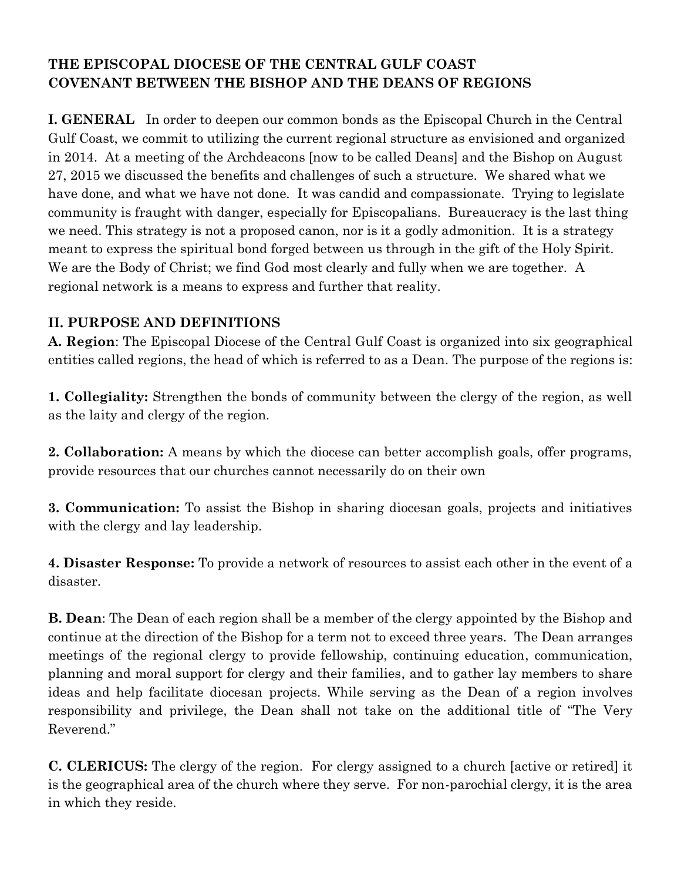# **THE EPISCOPAL DIOCESE OF THE CENTRAL GULF COAST COVENANT BETWEEN THE BISHOP AND THE DEANS OF REGIONS**

**I. GENERAL** In order to deepen our common bonds as the Episcopal Church in the Central Gulf Coast, we commit to utilizing the current regional structure as envisioned and organized in 2014. At a meeting of the Archdeacons [now to be called Deans] and the Bishop on August 27, 2015 we discussed the benefits and challenges of such a structure. We shared what we have done, and what we have not done. It was candid and compassionate. Trying to legislate community is fraught with danger, especially for Episcopalians. Bureaucracy is the last thing we need. This strategy is not a proposed canon, nor is it a godly admonition. It is a strategy meant to express the spiritual bond forged between us through in the gift of the Holy Spirit. We are the Body of Christ; we find God most clearly and fully when we are together. A regional network is a means to express and further that reality.

## **II. PURPOSE AND DEFINITIONS**

**A. Region**: The Episcopal Diocese of the Central Gulf Coast is organized into six geographical entities called regions, the head of which is referred to as a Dean. The purpose of the regions is:

**1. Collegiality:** Strengthen the bonds of community between the clergy of the region, as well as the laity and clergy of the region.

**2. Collaboration:** A means by which the diocese can better accomplish goals, offer programs, provide resources that our churches cannot necessarily do on their own

**3. Communication:** To assist the Bishop in sharing diocesan goals, projects and initiatives with the clergy and lay leadership.

**4. Disaster Response:** To provide a network of resources to assist each other in the event of a disaster.

**B. Dean**: The Dean of each region shall be a member of the clergy appointed by the Bishop and continue at the direction of the Bishop for a term not to exceed three years. The Dean arranges meetings of the regional clergy to provide fellowship, continuing education, communication, planning and moral support for clergy and their families, and to gather lay members to share ideas and help facilitate diocesan projects. While serving as the Dean of a region involves responsibility and privilege, the Dean shall not take on the additional title of "The Very Reverend."

**C. CLERICUS:** The clergy of the region. For clergy assigned to a church [active or retired] it is the geographical area of the church where they serve. For non-parochial clergy, it is the area in which they reside.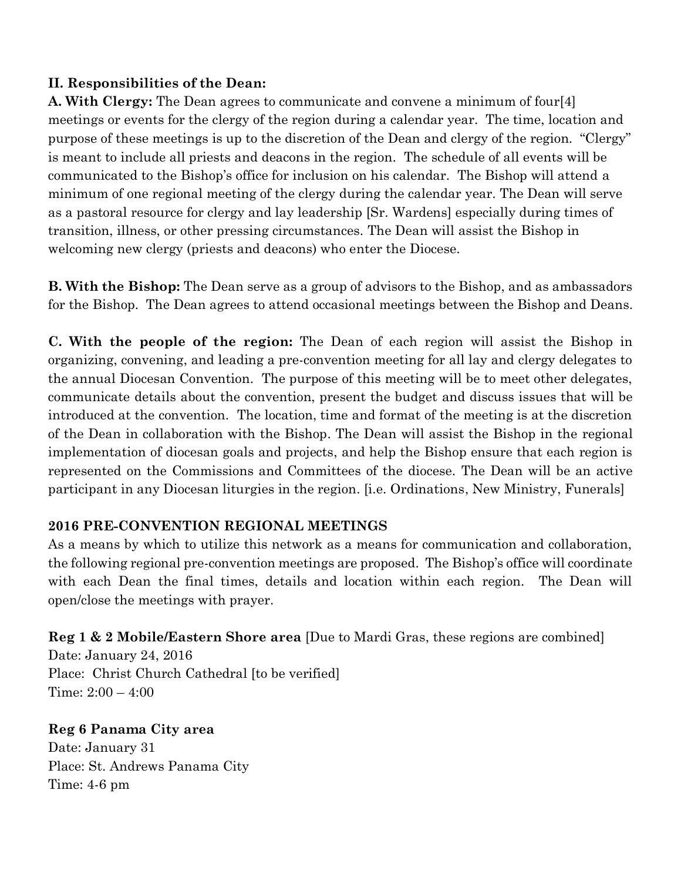## **II. Responsibilities of the Dean:**

**A. With Clergy:** The Dean agrees to communicate and convene a minimum of four[4] meetings or events for the clergy of the region during a calendar year. The time, location and purpose of these meetings is up to the discretion of the Dean and clergy of the region. "Clergy" is meant to include all priests and deacons in the region. The schedule of all events will be communicated to the Bishop's office for inclusion on his calendar. The Bishop will attend a minimum of one regional meeting of the clergy during the calendar year. The Dean will serve as a pastoral resource for clergy and lay leadership [Sr. Wardens] especially during times of transition, illness, or other pressing circumstances. The Dean will assist the Bishop in welcoming new clergy (priests and deacons) who enter the Diocese.

**B. With the Bishop:** The Dean serve as a group of advisors to the Bishop, and as ambassadors for the Bishop. The Dean agrees to attend occasional meetings between the Bishop and Deans.

**C. With the people of the region:** The Dean of each region will assist the Bishop in organizing, convening, and leading a pre-convention meeting for all lay and clergy delegates to the annual Diocesan Convention. The purpose of this meeting will be to meet other delegates, communicate details about the convention, present the budget and discuss issues that will be introduced at the convention. The location, time and format of the meeting is at the discretion of the Dean in collaboration with the Bishop. The Dean will assist the Bishop in the regional implementation of diocesan goals and projects, and help the Bishop ensure that each region is represented on the Commissions and Committees of the diocese. The Dean will be an active participant in any Diocesan liturgies in the region. [i.e. Ordinations, New Ministry, Funerals]

#### **2016 PRE-CONVENTION REGIONAL MEETINGS**

As a means by which to utilize this network as a means for communication and collaboration, the following regional pre-convention meetings are proposed. The Bishop's office will coordinate with each Dean the final times, details and location within each region. The Dean will open/close the meetings with prayer.

**Reg 1 & 2 Mobile/Eastern Shore area** [Due to Mardi Gras, these regions are combined]

Date: January 24, 2016 Place: Christ Church Cathedral [to be verified] Time: 2:00 – 4:00

**Reg 6 Panama City area**  Date: January 31 Place: St. Andrews Panama City Time: 4-6 pm